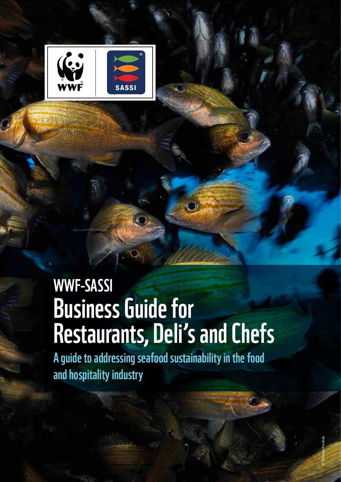

# WWF-SASSI Business Guide for Restaurants, Deli's and Chefs

A guide to addressing seafood sustainability in the food and hospitality industry

© Thomas Peschak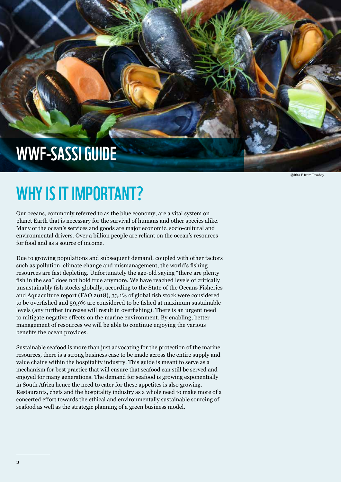## WWF-SASSI Guide

## WHY IS IT IMPORTANT?

Our oceans, commonly referred to as the blue economy, are a vital system on planet Earth that is necessary for the survival of humans and other species alike. Many of the ocean's services and goods are major economic, socio-cultural and environmental drivers. Over a billion people are reliant on the ocean's resources for food and as a source of income.

Due to growing populations and subsequent demand, coupled with other factors such as pollution, climate change and mismanagement, the world's fishing resources are fast depleting. Unfortunately the age-old saying "there are plenty fish in the sea'' does not hold true anymore. We have reached levels of critically unsustainably fish stocks globally, according to the State of the Oceans Fisheries and Aquaculture report (FAO 2018), 33.1% of global fish stock were considered to be overfished and 59,9% are considered to be fished at maximum sustainable levels (any further increase will result in overfishing). There is an urgent need to mitigate negative effects on the marine environment. By enabling, better management of resources we will be able to continue enjoying the various benefits the ocean provides.

Sustainable seafood is more than just advocating for the protection of the marine resources, there is a strong business case to be made across the entire supply and value chains within the hospitality industry. This guide is meant to serve as a mechanism for best practice that will ensure that seafood can still be served and enjoyed for many generations. The demand for seafood is growing exponentially in South Africa hence the need to cater for these appetites is also growing. Restaurants, chefs and the hospitality industry as a whole need to make more of a concerted effort towards the ethical and environmentally sustainable sourcing of seafood as well as the strategic planning of a green business model.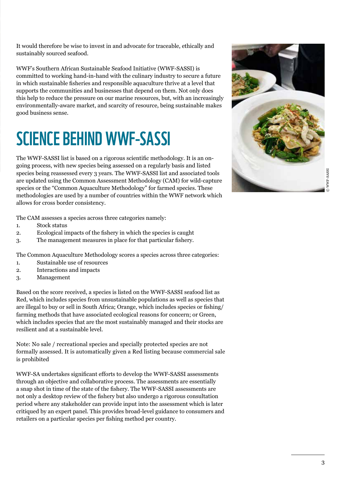It would therefore be wise to invest in and advocate for traceable, ethically and sustainably sourced seafood.

WWF's Southern African Sustainable Seafood Initiative (WWF-SASSI) is committed to working hand-in-hand with the culinary industry to secure a future in which sustainable fisheries and responsible aquaculture thrive at a level that supports the communities and businesses that depend on them. Not only does this help to reduce the pressure on our marine resources, but, with an increasingly environmentally-aware market, and scarcity of resource, being sustainable makes good business sense.

## Science behind Wwf-Sassi

The WWF-SASSI list is based on a rigorous scientific methodology. It is an ongoing process, with new species being assessed on a regularly basis and listed species being reassessed every 3 years. The WWF-SASSI list and associated tools are updated using the Common Assessment Methodology (CAM) for wild-capture species or the "Common Aquaculture Methodology" for farmed species. These methodologies are used by a number of countries within the WWF network which allows for cross border consistency.

The CAM assesses a species across three categories namely:

- 1. Stock status
- 2. Ecological impacts of the fishery in which the species is caught
- 3. The management measures in place for that particular fishery.

The Common Aquaculture Methodology scores a species across three categories:

- 1. Sustainable use of resources
- 2. Interactions and impacts
- 3. Management

Based on the score received, a species is listed on the WWF-SASSI seafood list as Red, which includes species from unsustainable populations as well as species that are illegal to buy or sell in South Africa; Orange, which includes species or fishing/ farming methods that have associated ecological reasons for concern; or Green, which includes species that are the most sustainably managed and their stocks are resilient and at a sustainable level.

Note: No sale / recreational species and specially protected species are not formally assessed. It is automatically given a Red listing because commercial sale is prohibited

WWF-SA undertakes significant efforts to develop the WWF-SASSI assessments through an objective and collaborative process. The assessments are essentially a snap shot in time of the state of the fishery. The WWF-SASSI assessments are not only a desktop review of the fishery but also undergo a rigorous consultation period where any stakeholder can provide input into the assessment which is later critiqued by an expert panel. This provides broad-level guidance to consumers and retailers on a particular species per fishing method per country.

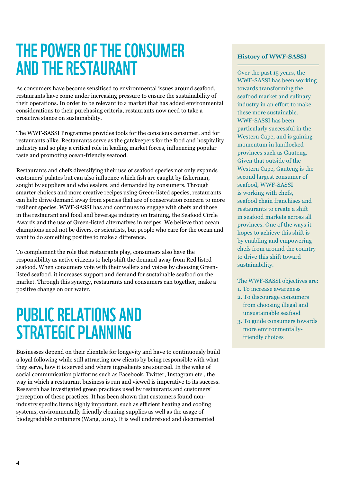## The Power of the Consumer and the Restaurant

As consumers have become sensitised to environmental issues around seafood, restaurants have come under increasing pressure to ensure the sustainability of their operations. In order to be relevant to a market that has added environmental considerations to their purchasing criteria, restaurants now need to take a proactive stance on sustainability.

The WWF-SASSI Programme provides tools for the conscious consumer, and for restaurants alike. Restaurants serve as the gatekeepers for the food and hospitality industry and so play a critical role in leading market forces, influencing popular taste and promoting ocean-friendly seafood.

Restaurants and chefs diversifying their use of seafood species not only expands customers' palates but can also influence which fish are caught by fisherman, sought by suppliers and wholesalers, and demanded by consumers. Through smarter choices and more creative recipes using Green-listed species, restaurants can help drive demand away from species that are of conservation concern to more resilient species. WWF-SASSI has and continues to engage with chefs and those in the restaurant and food and beverage industry on training, the Seafood Circle Awards and the use of Green-listed alternatives in recipes. We believe that ocean champions need not be divers, or scientists, but people who care for the ocean and want to do something positive to make a difference.

To complement the role that restaurants play, consumers also have the responsibility as active citizens to help shift the demand away from Red listed seafood. When consumers vote with their wallets and voices by choosing Greenlisted seafood, it increases support and demand for sustainable seafood on the market. Through this synergy, restaurants and consumers can together, make a positive change on our water.

## **PUBLIC RELATIONS AND** strategic planning

Businesses depend on their clientele for longevity and have to continuously build a loyal following while still attracting new clients by being responsible with what they serve, how it is served and where ingredients are sourced. In the wake of social communication platforms such as Facebook, Twitter, Instagram etc., the way in which a restaurant business is run and viewed is imperative to its success. Research has investigated green practices used by restaurants and customers' perception of these practices. It has been shown that customers found nonindustry specific items highly important, such as efficient heating and cooling systems, environmentally friendly cleaning supplies as well as the usage of biodegradable containers (Wang, 2012). It is well understood and documented

### **History of WWF-SASSI**

Over the past 15 years, the WWF-SASSI has been working towards transforming the seafood market and culinary industry in an effort to make these more sustainable. WWF-SASSI has been particularly successful in the Western Cape, and is gaining momentum in landlocked provinces such as Gauteng. Given that outside of the Western Cape, Gauteng is the second largest consumer of seafood, WWF-SASSI is working with chefs, seafood chain franchises and restaurants to create a shift in seafood markets across all provinces. One of the ways it hopes to achieve this shift is by enabling and empowering chefs from around the country to drive this shift toward sustainability.

The WWF-SASSI objectives are:

- 1. To increase awareness
- 2. To discourage consumers from choosing illegal and unsustainable seafood
- 3. To guide consumers towards more environmentally friendly choices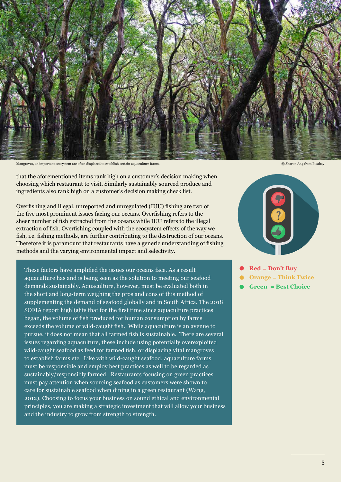

Mangroves, an important ecosystem are often displaced to establish certain aquaculture farms. © Sharon Ang from Pixabay

that the aforementioned items rank high on a customer's decision making when choosing which restaurant to visit. Similarly sustainably sourced produce and ingredients also rank high on a customer's decision making check list.

Overfishing and illegal, unreported and unregulated (IUU) fishing are two of the five most prominent issues facing our oceans. Overfishing refers to the sheer number of fish extracted from the oceans while IUU refers to the illegal extraction of fish. Overfishing coupled with the ecosystem effects of the way we fish, i.e. fishing methods, are further contributing to the destruction of our oceans. Therefore it is paramount that restaurants have a generic understanding of fishing methods and the varying environmental impact and selectivity.

These factors have amplified the issues our oceans face. As a result aquaculture has and is being seen as the solution to meeting our seafood demands sustainably. Aquaculture, however, must be evaluated both in the short and long-term weighing the pros and cons of this method of supplementing the demand of seafood globally and in South Africa. The 2018 SOFIA report highlights that for the first time since aquaculture practices began, the volume of fish produced for human consumption by farms exceeds the volume of wild-caught fish. While aquaculture is an avenue to pursue, it does not mean that all farmed fish is sustainable. There are several issues regarding aquaculture, these include using potentially overexploited wild-caught seafood as feed for farmed fish, or displacing vital mangroves to establish farms etc. Like with wild-caught seafood, aquaculture farms must be responsible and employ best practices as well to be regarded as sustainably/responsibly farmed. Restaurants focusing on green practices must pay attention when sourcing seafood as customers were shown to care for sustainable seafood when dining in a green restaurant (Wang, 2012). Choosing to focus your business on sound ethical and environmental principles, you are making a strategic investment that will allow your business and the industry to grow from strength to strength.



- **Red = Don't Buy**
- **Orange = Think Twice**
- **Green = Best Choice**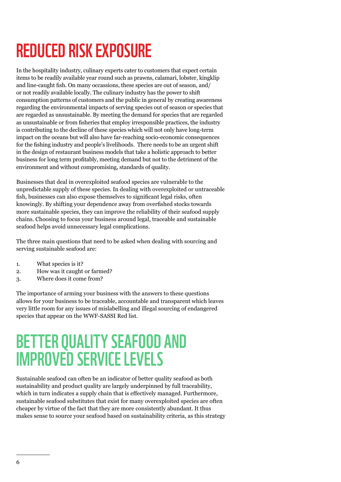## Reduced risk exposure

In the hospitality industry, culinary experts cater to customers that expect certain items to be readily available year round such as prawns, calamari, lobster, kingklip and line-caught fish. On many occassions, these species are out of season, and/ or not readily available locally. The culinary industry has the power to shift consumption patterns of customers and the public in general by creating awareness regarding the environmental impacts of serving species out of season or species that are regarded as unsustainable. By meeting the demand for species that are regarded as unsustainable or from fisheries that employ irresponsible practices, the industry is contributing to the decline of these species which will not only have long-term impact on the oceans but will also have far-reaching socio-economic consequences for the fishing industry and people's livelihoods. There needs to be an urgent shift in the design of restaurant business models that take a holistic approach to better business for long term profitably, meeting demand but not to the detriment of the environment and without compromising, standards of quality.

Businesses that deal in overexploited seafood species are vulnerable to the unpredictable supply of these species. In dealing with overexploited or untraceable fish, businesses can also expose themselves to significant legal risks, often knowingly. By shifting your dependence away from overfished stocks towards more sustainable species, they can improve the reliability of their seafood supply chains. Choosing to focus your business around legal, traceable and sustainable seafood helps avoid unnecessary legal complications.

The three main questions that need to be asked when dealing with sourcing and serving sustainable seafood are:

- 1. What species is it?
- 2. How was it caught or farmed?
- 3. Where does it come from?

The importance of arming your business with the answers to these questions allows for your business to be traceable, accountable and transparent which leaves very little room for any issues of mislabelling and illegal sourcing of endangered species that appear on the WWF-SASSI Red list.

## Better quality seafood and improved service levels

Sustainable seafood can often be an indicator of better quality seafood as both sustainability and product quality are largely underpinned by full traceability, which in turn indicates a supply chain that is effectively managed. Furthermore, sustainable seafood substitutes that exist for many overexploited species are often cheaper by virtue of the fact that they are more consistently abundant. It thus makes sense to source your seafood based on sustainability criteria, as this strategy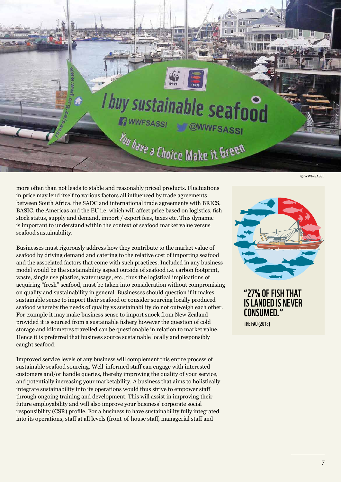

more often than not leads to stable and reasonably priced products. Fluctuations in price may lend itself to various factors all influenced by trade agreements between South Africa, the SADC and international trade agreements with BRICS, BASIC, the Americas and the EU i.e. which will affect price based on logistics, fish stock status, supply and demand, import / export fees, taxes etc. This dynamic is important to understand within the context of seafood market value versus seafood sustainability.

Businesses must rigorously address how they contribute to the market value of seafood by driving demand and catering to the relative cost of importing seafood and the associated factors that come with such practices. Included in any business model would be the sustainability aspect outside of seafood i.e. carbon footprint, waste, single use plastics, water usage, etc., thus the logistical implications of acquiring "fresh'' seafood, must be taken into consideration without compromising on quality and sustainability in general. Businesses should question if it makes sustainable sense to import their seafood or consider sourcing locally produced seafood whereby the needs of quality vs sustainability do not outweigh each other. For example it may make business sense to import snoek from New Zealand provided it is sourced from a sustainable fishery however the question of cold storage and kilometres travelled can be questionable in relation to market value. Hence it is preferred that business source sustainable locally and responsibly caught seafood.

Improved service levels of any business will complement this entire process of sustainable seafood sourcing. Well-informed staff can engage with interested customers and/or handle queries, thereby improving the quality of your service, and potentially increasing your marketability. A business that aims to holistically integrate sustainability into its operations would thus strive to empower staff through ongoing training and development. This will assist in improving their future employability and will also improve your business' corporate social responsibility (CSR) profile. For a business to have sustainability fully integrated into its operations, staff at all levels (front-of-house staff, managerial staff and



"27% OF FISH THAT **IS LANDED IS NEVER** consumed."

The FAO (2018)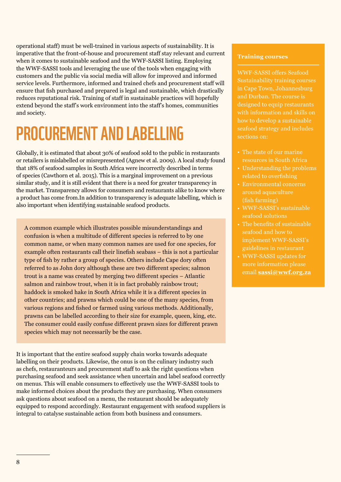operational staff) must be well-trained in various aspects of sustainability. It is imperative that the front-of-house and procurement staff stay relevant and current when it comes to sustainable seafood and the WWF-SASSI listing. Employing the WWF-SASSI tools and leveraging the use of the tools when engaging with customers and the public via social media will allow for improved and informed service levels. Furthermore, informed and trained chefs and procurement staff will ensure that fish purchased and prepared is legal and sustainable, which drastically reduces reputational risk. Training of staff in sustainable practices will hopefully extend beyond the staff's work environment into the staff's homes, communities and society.

## Procurement and Labelling

Globally, it is estimated that about 30% of seafood sold to the public in restaurants or retailers is mislabelled or misrepresented (Agnew et al. 2009). A local study found that 18% of seafood samples in South Africa were incorrectly described in terms of species (Cawthorn et al. 2015). This is a marginal improvement on a previous similar study, and it is still evident that there is a need for greater transparency in the market. Transparency allows for consumers and restaurants alike to know where a product has come from.In addition to transparency is adequate labelling, which is also important when identifying sustainable seafood products.

A common example which illustrates possible misunderstandings and confusion is when a multitude of different species is referred to by one common name, or when many common names are used for one species, for example often restaurants call their linefish seabass – this is not a particular type of fish by rather a group of species. Others include Cape dory often referred to as John dory although these are two different species; salmon trout is a name was created by merging two different species – Atlantic salmon and rainbow trout, when it is in fact probably rainbow trout; haddock is smoked hake in South Africa while it is a different species in other countries; and prawns which could be one of the many species, from various regions and fished or farmed using various methods. Additionally, prawns can be labelled according to their size for example, queen, king, etc. The consumer could easily confuse different prawn sizes for different prawn species which may not necessarily be the case.

It is important that the entire seafood supply chain works towards adequate labelling on their products. Likewise, the onus is on the culinary industry such as chefs, restauranteurs and procurement staff to ask the right questions when purchasing seafood and seek assistance when uncertain and label seafood correctly on menus. This will enable consumers to effectively use the WWF-SASSI tools to make informed choices about the products they are purchasing. When consumers ask questions about seafood on a menu, the restaurant should be adequately equipped to respond accordingly. Restaurant engagement with seafood suppliers is integral to catalyse sustainable action from both business and consumers.

#### **Training courses**

WWF-SASSI offers Seafood Sustainability training courses in Cape Town, Johannesburg and Durban. The course is designed to equip restaurants with information and skills on seafood strategy and includes sections on:

- The state of our marine resources in South Africa
- Understanding the problems related to overfishing
- Environmental concerns around aquaculture (fish farming)
- WWF-SASSI's sustainable seafood solutions
- The benefits of sustainable seafood and how to implement WWF-SASSI's guidelines in restaurant
- WWF-SASSI updates for more information please email **sassi@wwf.org.za**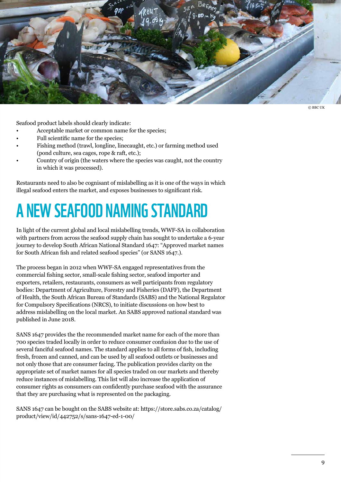

© BBC UK

Seafood product labels should clearly indicate:

- Acceptable market or common name for the species;
- Full scientific name for the species;
- Fishing method (trawl, longline, linecaught, etc.) or farming method used (pond culture, sea cages, rope & raft, etc.);
- Country of origin (the waters where the species was caught, not the country in which it was processed).

Restaurants need to also be cognisant of mislabelling as it is one of the ways in which illegal seafood enters the market, and exposes businesses to significant risk.

## A NEW SEAFOOD NAMING STANDARD

In light of the current global and local mislabelling trends, WWF-SA in collaboration with partners from across the seafood supply chain has sought to undertake a 6-year journey to develop South African National Standard 1647: "Approved market names for South African fish and related seafood species" (or SANS 1647.).

The process began in 2012 when WWF-SA engaged representatives from the commercial fishing sector, small-scale fishing sector, seafood importer and exporters, retailers, restaurants, consumers as well participants from regulatory bodies: Department of Agriculture, Forestry and Fisheries (DAFF), the Department of Health, the South African Bureau of Standards (SABS) and the National Regulator for Compulsory Specifications (NRCS), to initiate discussions on how best to address mislabelling on the local market. An SABS approved national standard was published in June 2018.

SANS 1647 provides the the recommended market name for each of the more than 700 species traded locally in order to reduce consumer confusion due to the use of several fanciful seafood names. The standard applies to all forms of fish, including fresh, frozen and canned, and can be used by all seafood outlets or businesses and not only those that are consumer facing. The publication provides clarity on the appropriate set of market names for all species traded on our markets and thereby reduce instances of mislabelling. This list will also increase the application of consumer rights as consumers can confidently purchase seafood with the assurance that they are purchasing what is represented on the packaging.

SANS 1647 can be bought on the SABS website at: https://store.sabs.co.za/catalog/ product/view/id/442752/s/sans-1647-ed-1-00/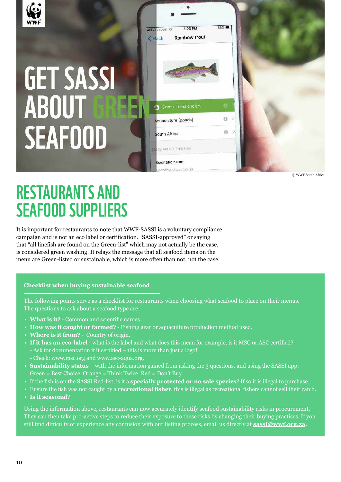

# **GET SASSI ABOUT SEAFOOD**



© WWF South Africa

## Restaurants and Seafood Suppliers

It is important for restaurants to note that WWF-SASSI is a voluntary compliance campaign and is not an eco label or certification. "SASSI-approved" or saying that "all linefish are found on the Green-list" which may not actually be the case, is considered green washing. It relays the message that all seafood items on the menu are Green-listed or sustainable, which is more often than not, not the case.

## **Checklist when buying sustainable seafood**

The following points serve as a checklist for restaurants when choosing what seafood to place on their menus. The questions to ask about a seafood type are:

- What is it? Common and scientific names.
- **How was it caught or farmed?** Fishing gear or aquaculture production method used. •
- **Where is it from?**  Country of origin. •
- **If it has an eco-label** what is the label and what does this mean for example, is it MSC or ASC certified? - Ask for documentation if it certified – this is more than just a logo!
	- Check: www.msc.org and www.asc-aqua.org.
- **Sustainability status** with the information gained from asking the 3 questions, and using the SASSI app: Green = Best Choice, Orange = Think Twice, Red = Don't Buy
- If the fish is on the SASSI Red-list, is it a **specially protected or no sale species**? If so it is illegal to purchase. •
- Ensure the fish was not caught by a **recreational fisher**, this is illegal as recreational fishers cannot sell their catch. **Is it seasonal**? •

Using the information above, restaurants can now accurately identify seafood sustainability risks in procurement. They can then take pro-active steps to reduce their exposure to these risks by changing their buying practises. If you still find difficulty or experience any confusion with our listing process, email us directly at **sassi@wwf.org.za.**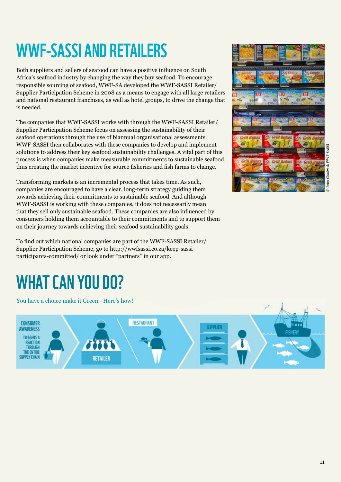## WWF-SASSI and Retailers

Both suppliers and sellers of seafood can have a positive influence on South Africa's seafood industry by changing the way they buy seafood. To encourage responsible sourcing of seafood, WWF-SA developed the WWF-SASSI Retailer/ Supplier Participation Scheme in 2008 as a means to engage with all large retailers and national restaurant franchises, as well as hotel groups, to drive the change that is needed.

The companies that WWF-SASSI works with through the WWF-SASSI Retailer/ Supplier Participation Scheme focus on assessing the sustainability of their seafood operations through the use of biannual organisational assessments. WWF-SASSI then collaborates with these companies to develop and implement solutions to address their key seafood sustainability challenges. A vital part of this process is when companies make measurable commitments to sustainable seafood, thus creating the market incentive for source fisheries and fish farms to change.

Transforming markets is an incremental process that takes time. As such, companies are encouraged to have a clear, long-term strategy guiding them towards achieving their commitments to sustainable seafood. And although WWF-SASSI is working with these companies, it does not necessarily mean that they sell only sustainable seafood. These companies are also influenced by consumers holding them accountable to their commitments and to support them on their journey towards achieving their seafood sustainability goals.

To find out which national companies are part of the WWF-SASSI Retailer/ Supplier Participation Scheme, go to http://wwfsassi.co.za/keep-sassiparticipants-committed/ or look under "partners'' in our app.

# 值

## WHAT CAN YOU DO?

You have a choice make it Green - Here's how! RESTAURANT CONSUMER **CHOOL IFS AWARENESS TRIGGERS A REACTION** THE ENTIRE **SIDDI Y CHAIN RETAILER**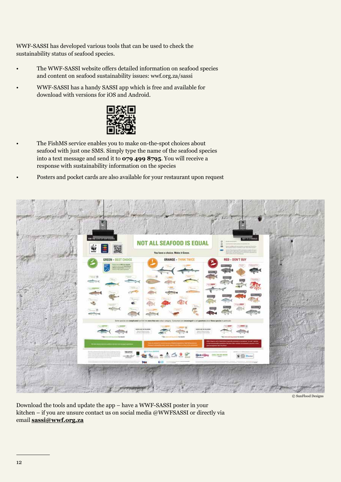WWF-SASSI has developed various tools that can be used to check the sustainability status of seafood species.

- The WWF-SASSI website offers detailed information on seafood species and content on seafood sustainability issues: wwf.org.za/sassi
- WWF-SASSI has a handy SASSI app which is free and available for download with versions for iOS and Android.



- The FishMS service enables you to make on-the-spot choices about seafood with just one SMS. Simply type the name of the seafood species into a text message and send it to **079 499 8795**. You will receive a response with sustainability information on the species
- Posters and pocket cards are also available for your restaurant upon request



© SunFlood Designs

Download the tools and update the app – have a WWF-SASSI poster in your kitchen – if you are unsure contact us on social media @WWFSASSI or directly via email **sassi@wwf.org.za**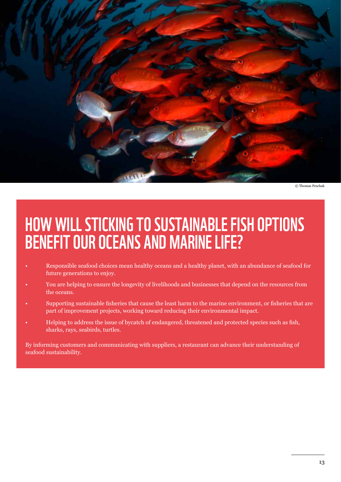

© Thomas Peschak

## Howwill sticking to sustainable fish options benefit our oceans and marine life?

- Responsible seafood choices mean healthy oceans and a healthy planet, with an abundance of seafood for future generations to enjoy.
- You are helping to ensure the longevity of livelihoods and businesses that depend on the resources from the oceans.
- Supporting sustainable fisheries that cause the least harm to the marine environment, or fisheries that are part of improvement projects, working toward reducing their environmental impact.
- Helping to address the issue of bycatch of endangered, threatened and protected species such as fish, sharks, rays, seabirds, turtles.

By informing customers and communicating with suppliers, a restaurant can advance their understanding of seafood sustainability.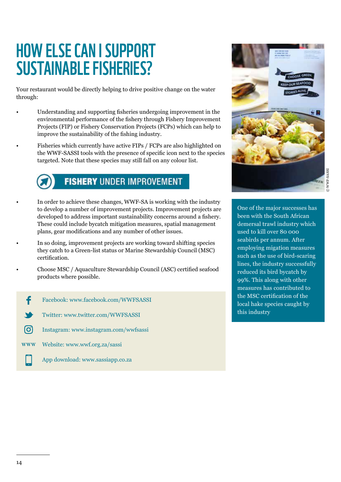## How else can I support Sustainable Fisheries?

Your restaurant would be directly helping to drive positive change on the water through:

- Understanding and supporting fisheries undergoing improvement in the environmental performance of the fishery through Fishery Improvement Projects (FIP) or Fishery Conservation Projects (FCPs) which can help to improve the sustainability of the fishing industry.
- Fisheries which currently have active FIPs / FCPs are also highlighted on the WWF-SASSI tools with the presence of specific icon next to the species targeted. Note that these species may still fall on any colour list.



- **FISHERY UNDER IMPROVEMENT**
- In order to achieve these changes, WWF-SA is working with the industry to develop a number of improvement projects. Improvement projects are developed to address important sustainability concerns around a fishery. These could include bycatch mitigation measures, spatial management plans, gear modifications and any number of other issues.
- In so doing, improvement projects are working toward shifting species they catch to a Green-list status or Marine Stewardship Council (MSC) certification.
- Choose MSC / Aquaculture Stewardship Council (ASC) certified seafood products where possible.
	- f Facebook: www.facebook.com/WWFSASSI
	- Twitter: www.twitter.com/WWFSASSI
	- രി Instagram: www.instagram.com/wwfsassi
	- **WWW** Website: www.wwf.org.za/sassi
		- App download: www.sassiapp.co.za



One of the major successes has been with the South African demersal trawl industry which used to kill over 80 000 seabirds per annum. After employing migation measures such as the use of bird-scaring lines, the industry successfully reduced its bird bycatch by 99%. This along with other measures has contributed to the MSC certification of the local hake species caught by this industry

•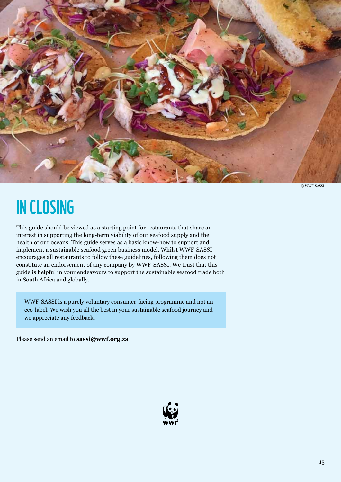

In Closing

This guide should be viewed as a starting point for restaurants that share an interest in supporting the long-term viability of our seafood supply and the health of our oceans. This guide serves as a basic know-how to support and implement a sustainable seafood green business model. Whilst WWF-SASSI encourages all restaurants to follow these guidelines, following them does not constitute an endorsement of any company by WWF-SASSI. We trust that this guide is helpful in your endeavours to support the sustainable seafood trade both in South Africa and globally.

WWF-SASSI is a purely voluntary consumer-facing programme and not an eco-label. We wish you all the best in your sustainable seafood journey and we appreciate any feedback.

Please send an email to **sassi@wwf.org.za**

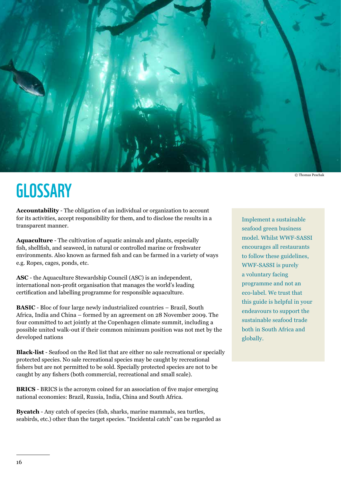

© Thomas Peschak

## **GLOSSARY**

**Accountability** - The obligation of an individual or organization to account for its activities, accept responsibility for them, and to disclose the results in a transparent manner.

**Aquaculture** - The cultivation of aquatic animals and plants, especially fish, shellfish, and seaweed, in natural or controlled marine or freshwater environments. Also known as farmed fish and can be farmed in a variety of ways e.g. Ropes, cages, ponds, etc.

**ASC** - the Aquaculture Stewardship Council (ASC) is an independent, international non-profit organisation that manages the world's leading certification and labelling programme for responsible aquaculture.

**BASIC** - Bloc of four large newly industrialized countries – Brazil, South Africa, India and China – formed by an agreement on 28 November 2009. The four committed to act jointly at the Copenhagen climate summit, including a possible united walk-out if their common minimum position was not met by the developed nations

**Black-list** - Seafood on the Red list that are either no sale recreational or specially protected species. No sale recreational species may be caught by recreational fishers but are not permitted to be sold. Specially protected species are not to be caught by any fishers (both commercial, recreational and small scale).

**BRICS** - BRICS is the acronym coined for an association of five major emerging national economies: Brazil, Russia, India, China and South Africa.

**Bycatch** - Any catch of species (fish, sharks, marine mammals, sea turtles, seabirds, etc.) other than the target species. "Incidental catch" can be regarded as

Implement a sustainable seafood green business model. Whilst WWF-SASSI encourages all restaurants to follow these guidelines, WWF-SASSI is purely a voluntary facing programme and not an eco-label. We trust that this guide is helpful in your endeavours to support the sustainable seafood trade both in South Africa and globally.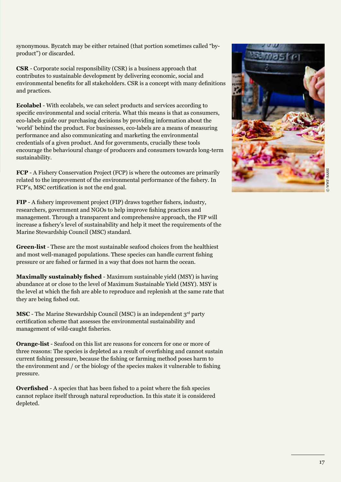synonymous. Bycatch may be either retained (that portion sometimes called "byproduct") or discarded.

**CSR** - Corporate social responsibility (CSR) is a business approach that contributes to sustainable development by delivering economic, social and environmental benefits for all stakeholders. CSR is a concept with many definitions and practices.

**Ecolabel** - With ecolabels, we can select products and services according to specific environmental and social criteria. What this means is that as consumers, eco-labels guide our purchasing decisions by providing information about the 'world' behind the product. For businesses, eco-labels are a means of measuring performance and also communicating and marketing the environmental credentials of a given product. And for governments, crucially these tools encourage the behavioural change of producers and consumers towards long-term sustainability.

**FCP** - A Fishery Conservation Project (FCP) is where the outcomes are primarily related to the improvement of the environmental performance of the fishery. In FCP's, MSC certification is not the end goal.

**FIP** - A fishery improvement project (FIP) draws together fishers, industry, researchers, government and NGOs to help improve fishing practices and management. Through a transparent and comprehensive approach, the FIP will increase a fishery's level of sustainability and help it meet the requirements of the Marine Stewardship Council (MSC) standard.

**Green-list** - These are the most sustainable seafood choices from the healthiest and most well-managed populations. These species can handle current fishing pressure or are fished or farmed in a way that does not harm the ocean.

**Maximally sustainably fished** - Maximum sustainable yield (MSY) is having abundance at or close to the level of Maximum Sustainable Yield (MSY). MSY is the level at which the fish are able to reproduce and replenish at the same rate that they are being fished out.

**MSC** - The Marine Stewardship Council (MSC) is an independent 3<sup>rd</sup> party certification scheme that assesses the environmental sustainability and management of wild-caught fisheries.

**Orange-list** - Seafood on this list are reasons for concern for one or more of three reasons: The species is depleted as a result of overfishing and cannot sustain current fishing pressure, because the fishing or farming method poses harm to the environment and / or the biology of the species makes it vulnerable to fishing pressure.

**Overfished** - A species that has been fished to a point where the fish species cannot replace itself through natural reproduction. In this state it is considered depleted.

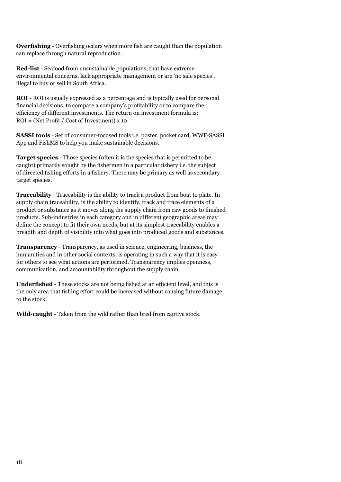**Overfishing** - Overfishing occurs when more fish are caught than the population can replace through natural reproduction.

**Red-list** - Seafood from unsustainable populations, that have extreme environmental concerns, lack appropriate management or are 'no sale species', illegal to buy or sell in South Africa.

**ROI** - ROI is usually expressed as a percentage and is typically used for personal financial decisions, to compare a company's profitability or to compare the efficiency of different investments. The return on investment formula is: ROI = (Net Profit / Cost of Investment) x 10

**SASSI tools** - Set of consumer-focused tools i.e. poster, pocket card, WWF-SASSI App and FishMS to help you make sustainable decisions.

**Target species** - Those species (often it is the species that is permitted to be caught) primarily sought by the fishermen in a particular fishery i.e. the subject of directed fishing efforts in a fishery. There may be primary as well as secondary target species.

**Traceability** - Traceability is the ability to track a product from boat to plate. In supply chain traceability, is the ability to identify, track and trace elements of a product or substance as it moves along the supply chain from raw goods to finished products. Sub-industries in each category and in different geographic areas may define the concept to fit their own needs, but at its simplest traceability enables a breadth and depth of visibility into what goes into produced goods and substances.

**Transparency** - Transparency, as used in science, engineering, business, the humanities and in other social contexts, is operating in such a way that it is easy for others to see what actions are performed. Transparency implies openness, communication, and accountability throughout the supply chain.

**Underfished** - These stocks are not being fished at an efficient level, and this is the only area that fishing effort could be increased without causing future damage to the stock.

**Wild-caught** - Taken from the wild rather than bred from captive stock.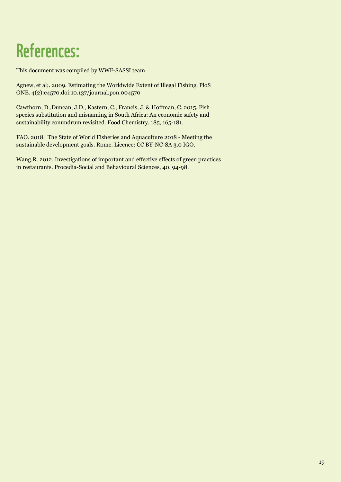## References:

This document was compiled by WWF-SASSI team.

Agnew, et al;. 2009. Estimating the Worldwide Extent of Illegal Fishing. PloS ONE. 4(2):e4570.doi:10.137/journal.pon.004570

Cawthorn, D.,Duncan, J.D., Kastern, C., Francis, J. & Hoffman, C. 2015. Fish species substitution and misnaming in South Africa: An economic safety and sustainability conundrum revisited. Food Chemistry, 185, 165-181.

FAO. 2018. The State of World Fisheries and Aquaculture 2018 - Meeting the sustainable development goals. Rome. Licence: CC BY-NC-SA 3.0 IGO.

Wang,R. 2012. Investigations of important and effective effects of green practices in restaurants. Procedia-Social and Behavioural Sciences, 40. 94-98.